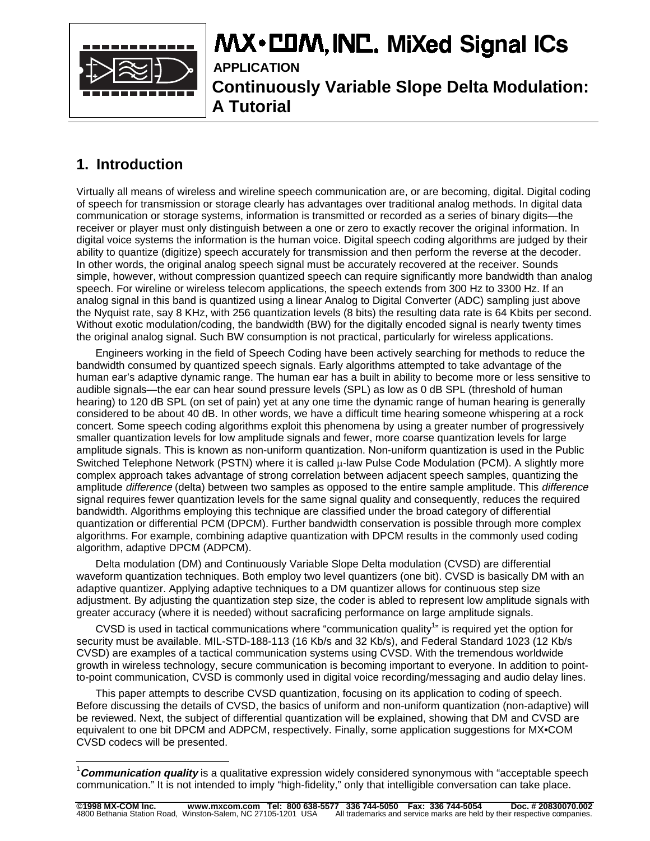

# MX · COM, INC. MiXed Signal ICs

**APPLICATION Continuously Variable Slope Delta Modulation: A Tutorial**

# **1. Introduction**

Virtually all means of wireless and wireline speech communication are, or are becoming, digital. Digital coding of speech for transmission or storage clearly has advantages over traditional analog methods. In digital data communication or storage systems, information is transmitted or recorded as a series of binary digits—the receiver or player must only distinguish between a one or zero to exactly recover the original information. In digital voice systems the information is the human voice. Digital speech coding algorithms are judged by their ability to quantize (digitize) speech accurately for transmission and then perform the reverse at the decoder. In other words, the original analog speech signal must be accurately recovered at the receiver. Sounds simple, however, without compression quantized speech can require significantly more bandwidth than analog speech. For wireline or wireless telecom applications, the speech extends from 300 Hz to 3300 Hz. If an analog signal in this band is quantized using a linear Analog to Digital Converter (ADC) sampling just above the Nyquist rate, say 8 KHz, with 256 quantization levels (8 bits) the resulting data rate is 64 Kbits per second. Without exotic modulation/coding, the bandwidth (BW) for the digitally encoded signal is nearly twenty times the original analog signal. Such BW consumption is not practical, particularly for wireless applications.

Engineers working in the field of Speech Coding have been actively searching for methods to reduce the bandwidth consumed by quantized speech signals. Early algorithms attempted to take advantage of the human ear's adaptive dynamic range. The human ear has a built in ability to become more or less sensitive to audible signals—the ear can hear sound pressure levels (SPL) as low as 0 dB SPL (threshold of human hearing) to 120 dB SPL (on set of pain) yet at any one time the dynamic range of human hearing is generally considered to be about 40 dB. In other words, we have a difficult time hearing someone whispering at a rock concert. Some speech coding algorithms exploit this phenomena by using a greater number of progressively smaller quantization levels for low amplitude signals and fewer, more coarse quantization levels for large amplitude signals. This is known as non-uniform quantization. Non-uniform quantization is used in the Public Switched Telephone Network (PSTN) where it is called  $\mu$ -law Pulse Code Modulation (PCM). A slightly more complex approach takes advantage of strong correlation between adjacent speech samples, quantizing the amplitude *difference* (delta) between two samples as opposed to the entire sample amplitude. This *difference* signal requires fewer quantization levels for the same signal quality and consequently, reduces the required bandwidth. Algorithms employing this technique are classified under the broad category of differential quantization or differential PCM (DPCM). Further bandwidth conservation is possible through more complex algorithms. For example, combining adaptive quantization with DPCM results in the commonly used coding algorithm, adaptive DPCM (ADPCM).

Delta modulation (DM) and Continuously Variable Slope Delta modulation (CVSD) are differential waveform quantization techniques. Both employ two level quantizers (one bit). CVSD is basically DM with an adaptive quantizer. Applying adaptive techniques to a DM quantizer allows for continuous step size adjustment. By adjusting the quantization step size, the coder is abled to represent low amplitude signals with greater accuracy (where it is needed) without sacraficing performance on large amplitude signals.

CVSD is used in tactical communications where "communication quality<sup>1</sup>" is required yet the option for security must be available. MIL-STD-188-113 (16 Kb/s and 32 Kb/s), and Federal Standard 1023 (12 Kb/s CVSD) are examples of a tactical communication systems using CVSD. With the tremendous worldwide growth in wireless technology, secure communication is becoming important to everyone. In addition to pointto-point communication, CVSD is commonly used in digital voice recording/messaging and audio delay lines.

This paper attempts to describe CVSD quantization, focusing on its application to coding of speech. Before discussing the details of CVSD, the basics of uniform and non-uniform quantization (non-adaptive) will be reviewed. Next, the subject of differential quantization will be explained, showing that DM and CVSD are equivalent to one bit DPCM and ADPCM, respectively. Finally, some application suggestions for MX•COM CVSD codecs will be presented.

l <sup>1</sup>Communication quality is a qualitative expression widely considered synonymous with "acceptable speech communication." It is not intended to imply "high-fidelity," only that intelligible conversation can take place.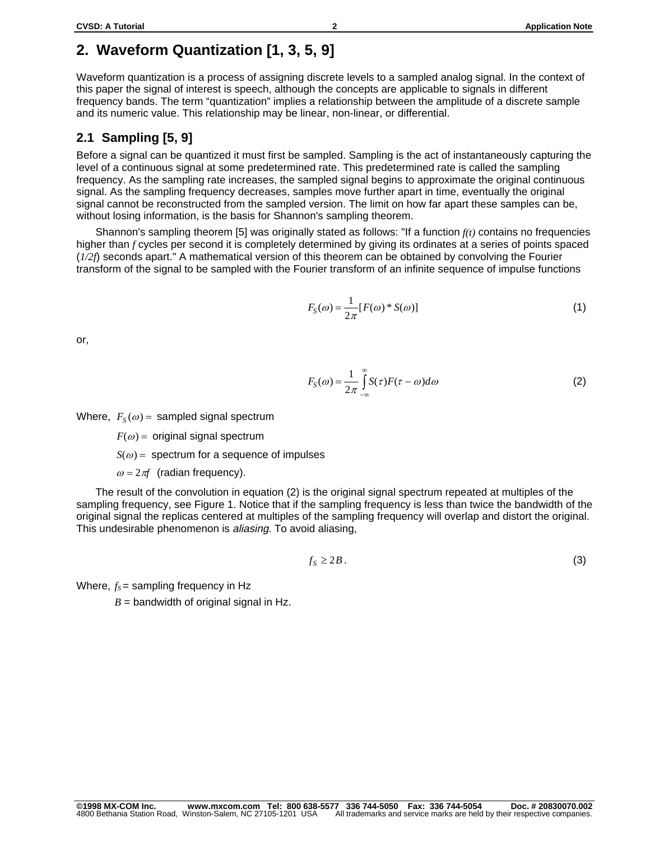# **2. Waveform Quantization [1, 3, 5, 9]**

Waveform quantization is a process of assigning discrete levels to a sampled analog signal. In the context of this paper the signal of interest is speech, although the concepts are applicable to signals in different frequency bands. The term "quantization" implies a relationship between the amplitude of a discrete sample and its numeric value. This relationship may be linear, non-linear, or differential.

### **2.1 Sampling [5, 9]**

Before a signal can be quantized it must first be sampled. Sampling is the act of instantaneously capturing the level of a continuous signal at some predetermined rate. This predetermined rate is called the sampling frequency. As the sampling rate increases, the sampled signal begins to approximate the original continuous signal. As the sampling frequency decreases, samples move further apart in time, eventually the original signal cannot be reconstructed from the sampled version. The limit on how far apart these samples can be, without losing information, is the basis for Shannon's sampling theorem.

Shannon's sampling theorem [5] was originally stated as follows: "If a function *f(t)* contains no frequencies higher than *f* cycles per second it is completely determined by giving its ordinates at a series of points spaced (*1/2f*) seconds apart." A mathematical version of this theorem can be obtained by convolving the Fourier transform of the signal to be sampled with the Fourier transform of an infinite sequence of impulse functions

$$
F_S(\omega) = \frac{1}{2\pi} [F(\omega)^* S(\omega)] \tag{1}
$$

or,

$$
F_S(\omega) = \frac{1}{2\pi} \int_{-\infty}^{\infty} S(\tau) F(\tau - \omega) d\omega
$$
 (2)

Where,  $F_S(\omega)$  = sampled signal spectrum

 $F(\omega)$  = original signal spectrum

 $S(\omega)$  = spectrum for a sequence of impulses

 $\omega = 2\pi f$  (radian frequency).

The result of the convolution in equation (2) is the original signal spectrum repeated at multiples of the sampling frequency, see Figure 1. Notice that if the sampling frequency is less than twice the bandwidth of the original signal the replicas centered at multiples of the sampling frequency will overlap and distort the original. This undesirable phenomenon is aliasing. To avoid aliasing,

$$
f_{S} \geq 2B. \tag{3}
$$

Where,  $f_s$  = sampling frequency in Hz

 $B =$  bandwidth of original signal in Hz.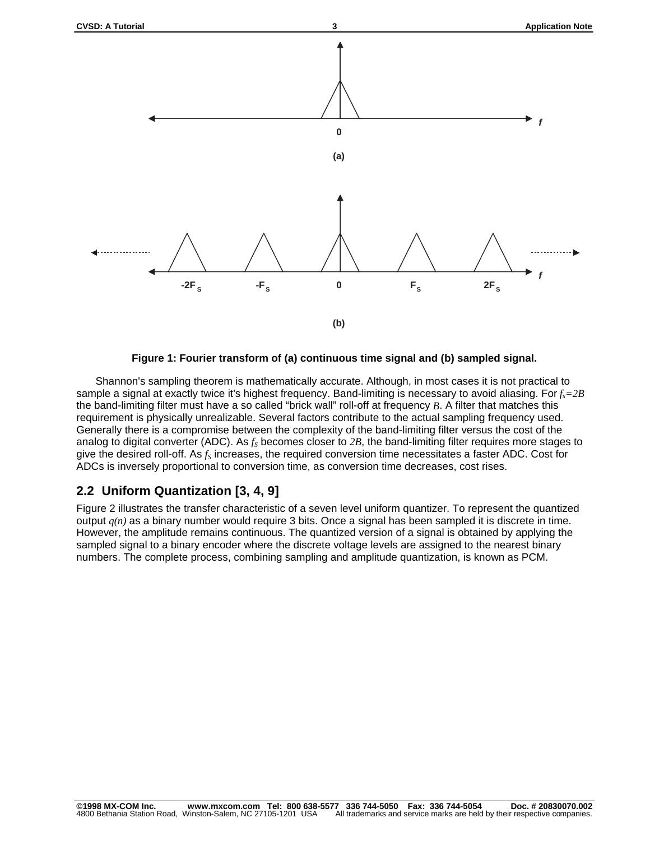



Shannon's sampling theorem is mathematically accurate. Although, in most cases it is not practical to sample a signal at exactly twice it's highest frequency. Band-limiting is necessary to avoid aliasing. For  $f_s = 2B$ the band-limiting filter must have a so called "brick wall" roll-off at frequency *B*. A filter that matches this requirement is physically unrealizable. Several factors contribute to the actual sampling frequency used. Generally there is a compromise between the complexity of the band-limiting filter versus the cost of the analog to digital converter (ADC). As  $f<sub>S</sub>$  becomes closer to 2B, the band-limiting filter requires more stages to give the desired roll-off. As  $f_S$  increases, the required conversion time necessitates a faster ADC. Cost for ADCs is inversely proportional to conversion time, as conversion time decreases, cost rises.

### **2.2 Uniform Quantization [3, 4, 9]**

Figure 2 illustrates the transfer characteristic of a seven level uniform quantizer. To represent the quantized output *q(n)* as a binary number would require 3 bits. Once a signal has been sampled it is discrete in time. However, the amplitude remains continuous. The quantized version of a signal is obtained by applying the sampled signal to a binary encoder where the discrete voltage levels are assigned to the nearest binary numbers. The complete process, combining sampling and amplitude quantization, is known as PCM.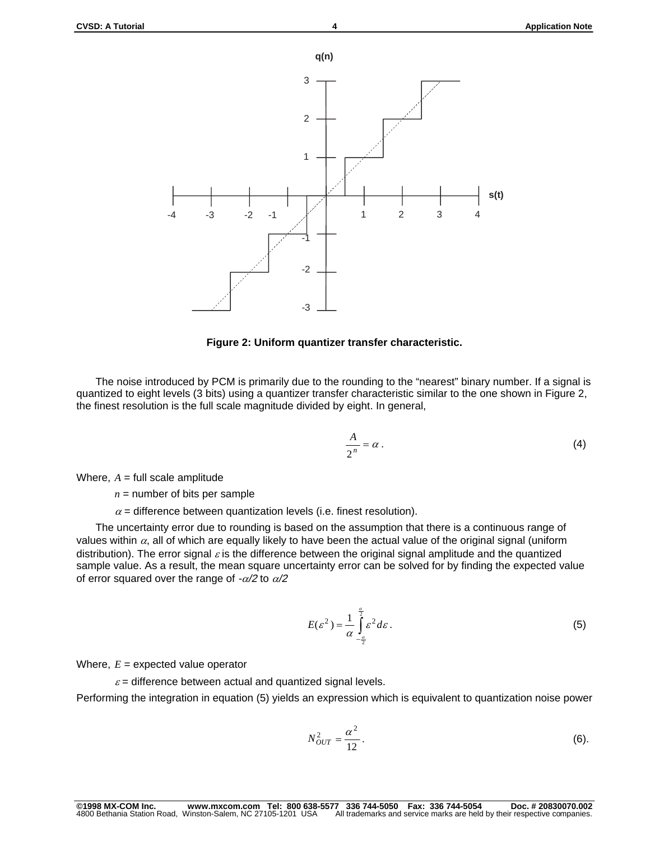

#### **Figure 2: Uniform quantizer transfer characteristic.**

The noise introduced by PCM is primarily due to the rounding to the "nearest" binary number. If a signal is quantized to eight levels (3 bits) using a quantizer transfer characteristic similar to the one shown in Figure 2, the finest resolution is the full scale magnitude divided by eight. In general,

$$
\frac{A}{2^n} = \alpha \,.
$$
 (4)

Where,  $A =$  full scale amplitude

 $n =$  number of bits per sample

 $\alpha$  = difference between quantization levels (i.e. finest resolution).

The uncertainty error due to rounding is based on the assumption that there is a continuous range of values within  $\alpha$ , all of which are equally likely to have been the actual value of the original signal (uniform distribution). The error signal  $\varepsilon$  is the difference between the original signal amplitude and the quantized sample value. As a result, the mean square uncertainty error can be solved for by finding the expected value of error squared over the range of  $-\alpha/2$  to  $\alpha/2$ 

$$
E(\varepsilon^2) = \frac{1}{\alpha} \int_{-\frac{\alpha}{2}}^{\frac{\alpha}{2}} \varepsilon^2 d\varepsilon.
$$
 (5)

Where,  $E =$  expected value operator

 $\varepsilon$  = difference between actual and quantized signal levels.

Performing the integration in equation (5) yields an expression which is equivalent to quantization noise power

$$
N_{OUT}^2 = \frac{\alpha^2}{12}.
$$
 (6)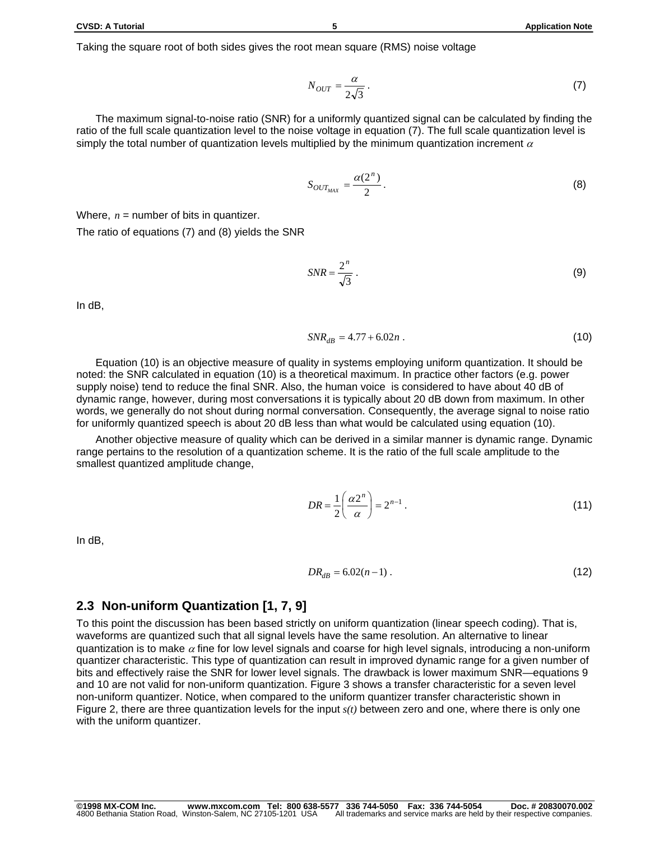The maximum signal-to-noise ratio (SNR) for a uniformly quantized signal can be calculated by finding the ratio of the full scale quantization level to the noise voltage in equation (7). The full scale quantization level is simply the total number of quantization levels multiplied by the minimum quantization increment  $\alpha$ 

$$
S_{OUT_{MAX}} = \frac{\alpha(2^n)}{2}.
$$
 (8)

Where,  $n =$  number of bits in quantizer.

The ratio of equations (7) and (8) yields the SNR

$$
SNR = \frac{2^n}{\sqrt{3}} \,. \tag{9}
$$

In dB,

$$
SNR_{dB} = 4.77 + 6.02n \tag{10}
$$

Equation (10) is an objective measure of quality in systems employing uniform quantization. It should be noted: the SNR calculated in equation (10) is a theoretical maximum. In practice other factors (e.g. power supply noise) tend to reduce the final SNR. Also, the human voice is considered to have about 40 dB of dynamic range, however, during most conversations it is typically about 20 dB down from maximum. In other words, we generally do not shout during normal conversation. Consequently, the average signal to noise ratio for uniformly quantized speech is about 20 dB less than what would be calculated using equation (10).

Another objective measure of quality which can be derived in a similar manner is dynamic range. Dynamic range pertains to the resolution of a quantization scheme. It is the ratio of the full scale amplitude to the smallest quantized amplitude change,

$$
DR = \frac{1}{2} \left( \frac{\alpha 2^n}{\alpha} \right) = 2^{n-1} \tag{11}
$$

In dB,

$$
DR_{dB} = 6.02(n-1) \tag{12}
$$

### **2.3 Non-uniform Quantization [1, 7, 9]**

To this point the discussion has been based strictly on uniform quantization (linear speech coding). That is, waveforms are quantized such that all signal levels have the same resolution. An alternative to linear quantization is to make  $\alpha$  fine for low level signals and coarse for high level signals, introducing a non-uniform quantizer characteristic. This type of quantization can result in improved dynamic range for a given number of bits and effectively raise the SNR for lower level signals. The drawback is lower maximum SNR—equations 9 and 10 are not valid for non-uniform quantization. Figure 3 shows a transfer characteristic for a seven level non-uniform quantizer. Notice, when compared to the uniform quantizer transfer characteristic shown in Figure 2, there are three quantization levels for the input *s(t)* between zero and one, where there is only one with the uniform quantizer.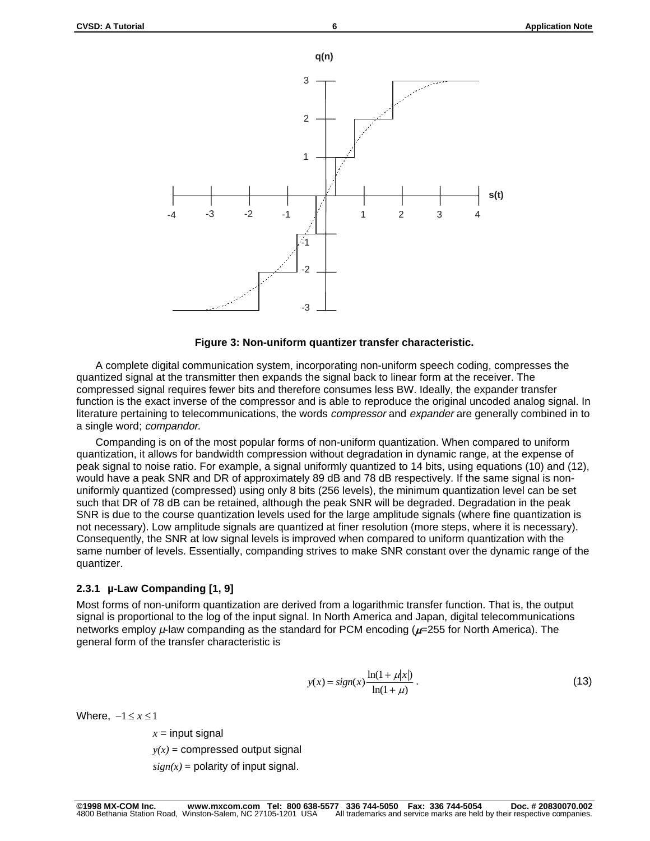



A complete digital communication system, incorporating non-uniform speech coding, compresses the quantized signal at the transmitter then expands the signal back to linear form at the receiver. The compressed signal requires fewer bits and therefore consumes less BW. Ideally, the expander transfer function is the exact inverse of the compressor and is able to reproduce the original uncoded analog signal. In literature pertaining to telecommunications, the words *compressor* and expander are generally combined in to a single word; compandor.

Companding is on of the most popular forms of non-uniform quantization. When compared to uniform quantization, it allows for bandwidth compression without degradation in dynamic range, at the expense of peak signal to noise ratio. For example, a signal uniformly quantized to 14 bits, using equations (10) and (12), would have a peak SNR and DR of approximately 89 dB and 78 dB respectively. If the same signal is nonuniformly quantized (compressed) using only 8 bits (256 levels), the minimum quantization level can be set such that DR of 78 dB can be retained, although the peak SNR will be degraded. Degradation in the peak SNR is due to the course quantization levels used for the large amplitude signals (where fine quantization is not necessary). Low amplitude signals are quantized at finer resolution (more steps, where it is necessary). Consequently, the SNR at low signal levels is improved when compared to uniform quantization with the same number of levels. Essentially, companding strives to make SNR constant over the dynamic range of the quantizer.

### **2.3.1 µ-Law Companding [1, 9]**

Most forms of non-uniform quantization are derived from a logarithmic transfer function. That is, the output signal is proportional to the log of the input signal. In North America and Japan, digital telecommunications networks employ  $\mu$ -law companding as the standard for PCM encoding ( $\mu$ =255 for North America). The general form of the transfer characteristic is

$$
y(x) = sign(x) \frac{\ln(1 + \mu|x|)}{\ln(1 + \mu)}.
$$
 (13)

Where,  $-1 \le x \le 1$ 

 $x =$  input signal

 $y(x)$  = compressed output signal

 $sign(x) =$  polarity of input signal.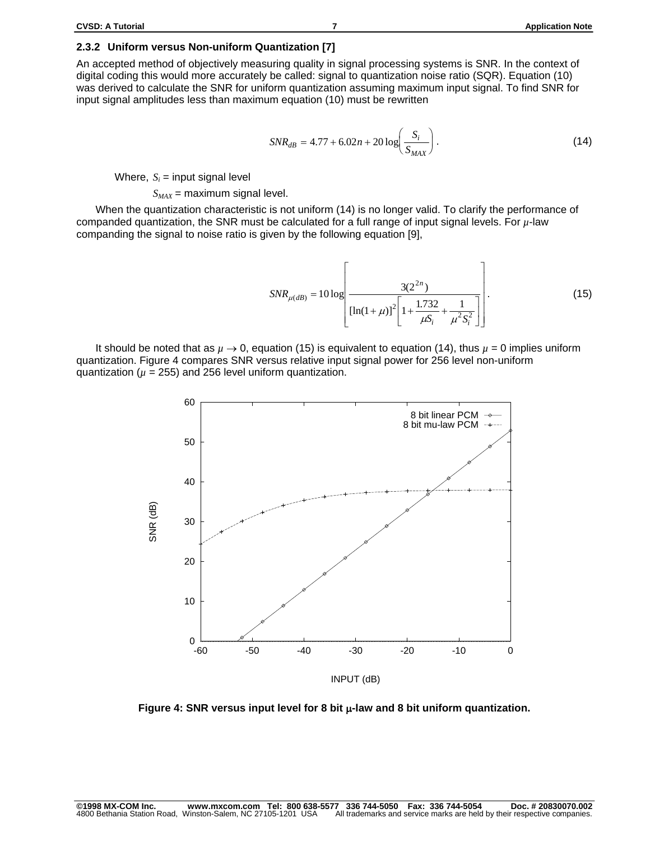#### **2.3.2 Uniform versus Non-uniform Quantization [7]**

An accepted method of objectively measuring quality in signal processing systems is SNR. In the context of digital coding this would more accurately be called: signal to quantization noise ratio (SQR). Equation (10) was derived to calculate the SNR for uniform quantization assuming maximum input signal. To find SNR for input signal amplitudes less than maximum equation (10) must be rewritten

$$
SNR_{dB} = 4.77 + 6.02n + 20 \log \left( \frac{S_i}{S_{MAX}} \right). \tag{14}
$$

Where,  $S_i$  = input signal level

 $S_{MAX}$  = maximum signal level.

When the quantization characteristic is not uniform (14) is no longer valid. To clarify the performance of companded quantization, the SNR must be calculated for a full range of input signal levels. For *µ*-law companding the signal to noise ratio is given by the following equation [9],

$$
SNR_{\mu(dB)} = 10 \log \left[ \frac{3(2^{2n})}{\left[ \ln(1+\mu)\right]^2 \left[ 1 + \frac{1.732}{\mu S_i} + \frac{1}{\mu^2 S_i^2} \right]} \right].
$$
 (15)

It should be noted that as  $\mu \to 0$ , equation (15) is equivalent to equation (14), thus  $\mu = 0$  implies uniform quantization. Figure 4 compares SNR versus relative input signal power for 256 level non-uniform quantization ( $\mu$  = 255) and 256 level uniform quantization.



Figure 4: SNR versus input level for 8 bit  $\mu$ -law and 8 bit uniform quantization.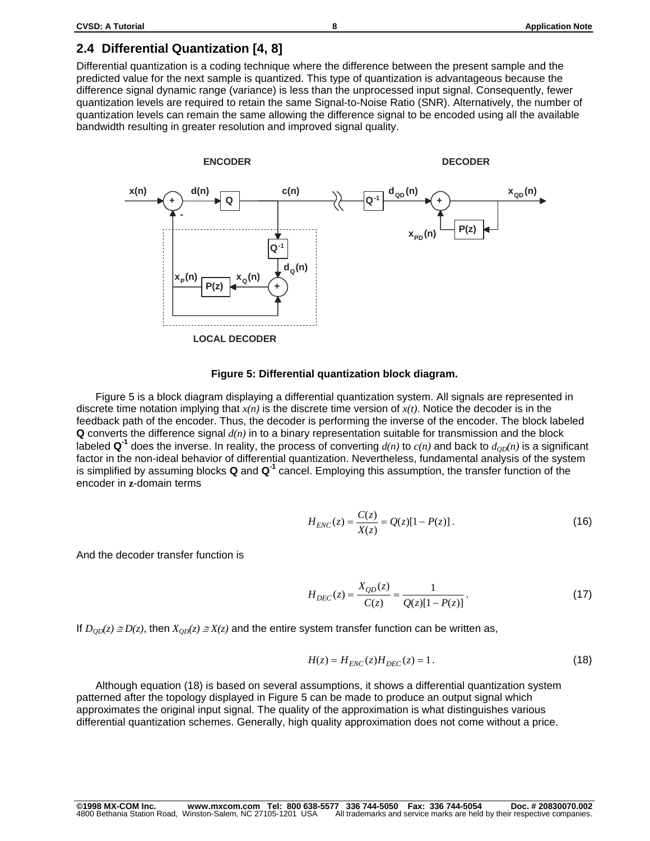### **2.4 Differential Quantization [4, 8]**

Differential quantization is a coding technique where the difference between the present sample and the predicted value for the next sample is quantized. This type of quantization is advantageous because the difference signal dynamic range (variance) is less than the unprocessed input signal. Consequently, fewer quantization levels are required to retain the same Signal-to-Noise Ratio (SNR). Alternatively, the number of quantization levels can remain the same allowing the difference signal to be encoded using all the available bandwidth resulting in greater resolution and improved signal quality.



#### **Figure 5: Differential quantization block diagram.**

Figure 5 is a block diagram displaying a differential quantization system. All signals are represented in discrete time notation implying that  $x(n)$  is the discrete time version of  $x(t)$ . Notice the decoder is in the feedback path of the encoder. Thus, the decoder is performing the inverse of the encoder. The block labeled **Q** converts the difference signal *d(n)* in to a binary representation suitable for transmission and the block labeled  $\mathbf{Q}^1$  does the inverse. In reality, the process of converting  $d(n)$  to  $c(n)$  and back to  $d_{OD}(n)$  is a significant factor in the non-ideal behavior of differential quantization. Nevertheless, fundamental analysis of the system is simplified by assuming blocks **Q** and **Q-1** cancel. Employing this assumption, the transfer function of the encoder in **z**-domain terms

$$
H_{ENC}(z) = \frac{C(z)}{X(z)} = Q(z)[1 - P(z)].
$$
\n(16)

And the decoder transfer function is

$$
H_{DEC}(z) = \frac{X_{QD}(z)}{C(z)} = \frac{1}{Q(z)[1 - P(z)]}.
$$
\n(17)

If  $D_{OD}(z) \cong D(z)$ , then  $X_{OD}(z) \cong X(z)$  and the entire system transfer function can be written as,

$$
H(z) = H_{ENC}(z)H_{DEC}(z) = 1.
$$
 (18)

Although equation (18) is based on several assumptions, it shows a differential quantization system patterned after the topology displayed in Figure 5 can be made to produce an output signal which approximates the original input signal. The quality of the approximation is what distinguishes various differential quantization schemes. Generally, high quality approximation does not come without a price.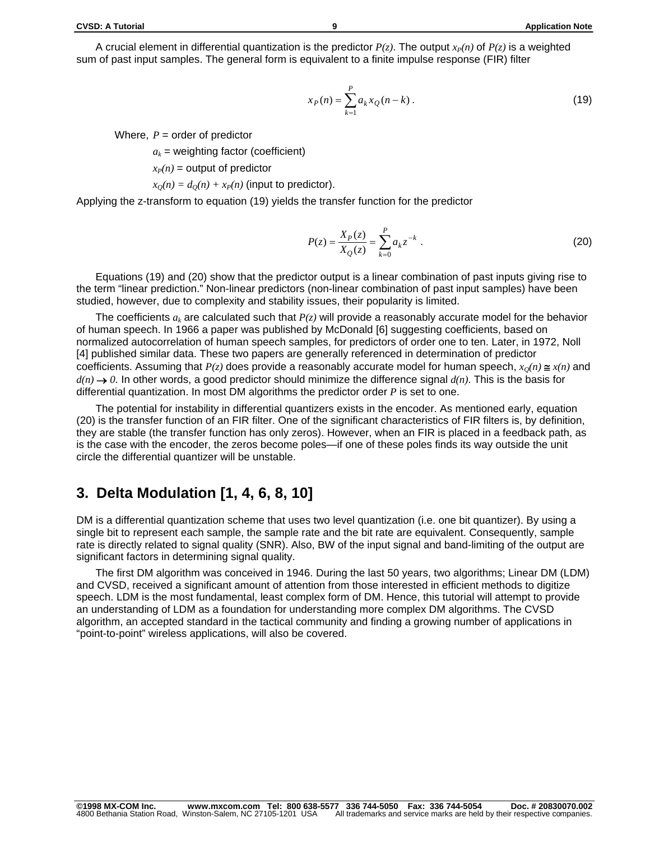A crucial element in differential quantization is the predictor  $P(z)$ . The output  $x_P(n)$  of  $P(z)$  is a weighted sum of past input samples. The general form is equivalent to a finite impulse response (FIR) filter

$$
x_P(n) = \sum_{k=1}^{P} a_k x_Q(n-k) \,. \tag{19}
$$

Where,  $P =$  order of predictor

 $a_k$  = weighting factor (coefficient)

 $x_P(n)$  = output of predictor

$$
x_Q(n) = d_Q(n) + x_P(n)
$$
 (input to predictor).

Applying the z-transform to equation (19) yields the transfer function for the predictor

$$
P(z) = \frac{X_P(z)}{X_Q(z)} = \sum_{k=0}^{P} a_k z^{-k} .
$$
 (20)

Equations (19) and (20) show that the predictor output is a linear combination of past inputs giving rise to the term "linear prediction." Non-linear predictors (non-linear combination of past input samples) have been studied, however, due to complexity and stability issues, their popularity is limited.

The coefficients *ak* are calculated such that *P(z)* will provide a reasonably accurate model for the behavior of human speech. In 1966 a paper was published by McDonald [6] suggesting coefficients, based on normalized autocorrelation of human speech samples, for predictors of order one to ten. Later, in 1972, Noll [4] published similar data. These two papers are generally referenced in determination of predictor coefficients. Assuming that  $P(z)$  does provide a reasonably accurate model for human speech,  $x_0(n) \leq x(n)$  and  $d(n) \rightarrow 0$ . In other words, a good predictor should minimize the difference signal  $d(n)$ . This is the basis for differential quantization. In most DM algorithms the predictor order *P* is set to one.

The potential for instability in differential quantizers exists in the encoder. As mentioned early, equation (20) is the transfer function of an FIR filter. One of the significant characteristics of FIR filters is, by definition, they are stable (the transfer function has only zeros). However, when an FIR is placed in a feedback path, as is the case with the encoder, the zeros become poles—if one of these poles finds its way outside the unit circle the differential quantizer will be unstable.

### **3. Delta Modulation [1, 4, 6, 8, 10]**

DM is a differential quantization scheme that uses two level quantization (i.e. one bit quantizer). By using a single bit to represent each sample, the sample rate and the bit rate are equivalent. Consequently, sample rate is directly related to signal quality (SNR). Also, BW of the input signal and band-limiting of the output are significant factors in determining signal quality.

The first DM algorithm was conceived in 1946. During the last 50 years, two algorithms; Linear DM (LDM) and CVSD, received a significant amount of attention from those interested in efficient methods to digitize speech. LDM is the most fundamental, least complex form of DM. Hence, this tutorial will attempt to provide an understanding of LDM as a foundation for understanding more complex DM algorithms. The CVSD algorithm, an accepted standard in the tactical community and finding a growing number of applications in "point-to-point" wireless applications, will also be covered.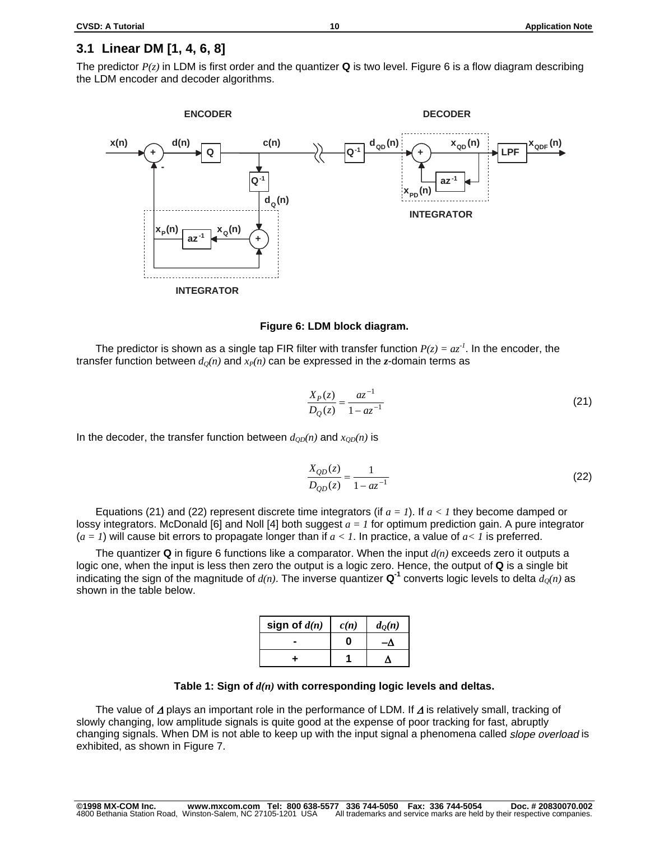### **3.1 Linear DM [1, 4, 6, 8]**

The predictor *P(z)* in LDM is first order and the quantizer **Q** is two level. Figure 6 is a flow diagram describing the LDM encoder and decoder algorithms.



#### **Figure 6: LDM block diagram.**

The predictor is shown as a single tap FIR filter with transfer function  $P(z) = az^{-1}$ . In the encoder, the transfer function between  $d<sub>O</sub>(n)$  and  $x<sub>P</sub>(n)$  can be expressed in the *z*-domain terms as

$$
\frac{X_P(z)}{D_Q(z)} = \frac{az^{-1}}{1 - az^{-1}}
$$
\n(21)

In the decoder, the transfer function between  $d_{OD}(n)$  and  $x_{OD}(n)$  is

$$
\frac{X_{QD}(z)}{D_{QD}(z)} = \frac{1}{1 - az^{-1}}
$$
\n(22)

Equations (21) and (22) represent discrete time integrators (if *a = 1*). If *a < 1* they become damped or lossy integrators. McDonald [6] and Noll [4] both suggest *a = 1* for optimum prediction gain. A pure integrator (*a = 1*) will cause bit errors to propagate longer than if *a < 1*. In practice, a value of *a< 1* is preferred.

The quantizer **Q** in figure 6 functions like a comparator. When the input *d(n)* exceeds zero it outputs a logic one, when the input is less then zero the output is a logic zero. Hence, the output of **Q** is a single bit indicating the sign of the magnitude of  $d(n)$ . The inverse quantizer  $\mathbf{Q}^1$  converts logic levels to delta  $d_0(n)$  as shown in the table below.

| sign of $d(n)$ | c(n) | $d_{\mathcal{Q}}(n)$ |
|----------------|------|----------------------|
|                |      |                      |
|                |      |                      |

#### **Table 1: Sign of** *d(n)* **with corresponding logic levels and deltas.**

The value of  $\Delta$  plays an important role in the performance of LDM. If  $\Delta$  is relatively small, tracking of slowly changing, low amplitude signals is quite good at the expense of poor tracking for fast, abruptly changing signals. When DM is not able to keep up with the input signal a phenomena called *slope overload* is exhibited, as shown in Figure 7.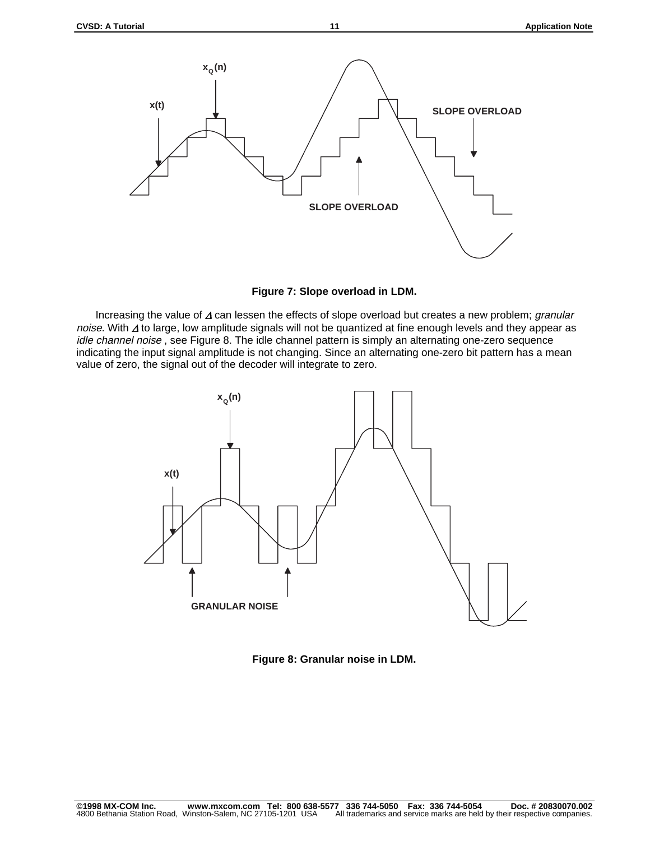

**Figure 7: Slope overload in LDM.**

Increasing the value of  $\Delta$  can lessen the effects of slope overload but creates a new problem; granular noise. With  $\Delta$  to large, low amplitude signals will not be quantized at fine enough levels and they appear as idle channel noise, see Figure 8. The idle channel pattern is simply an alternating one-zero sequence indicating the input signal amplitude is not changing. Since an alternating one-zero bit pattern has a mean value of zero, the signal out of the decoder will integrate to zero.



**Figure 8: Granular noise in LDM.**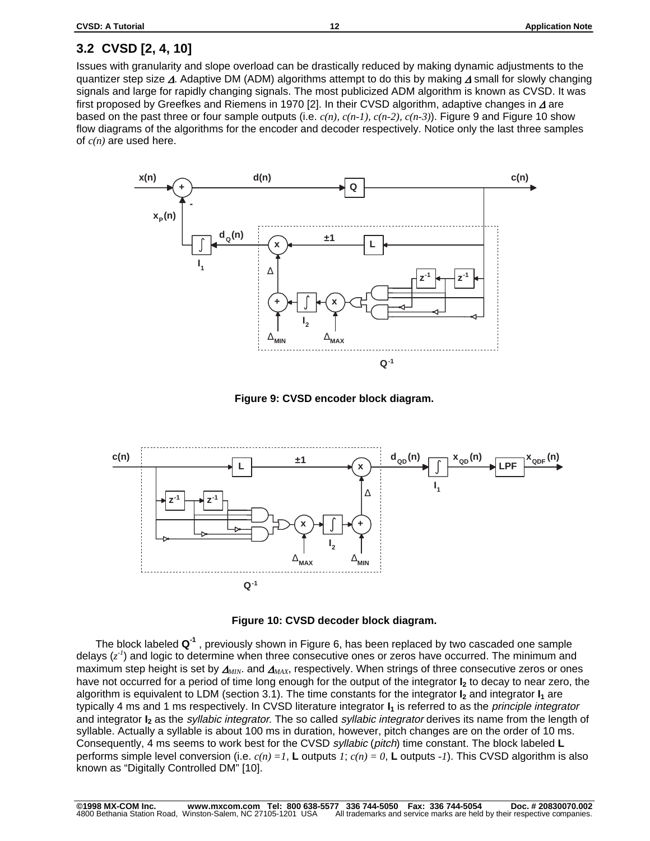# **3.2 CVSD [2, 4, 10]**

Issues with granularity and slope overload can be drastically reduced by making dynamic adjustments to the quantizer step size  $\Delta$ . Adaptive DM (ADM) algorithms attempt to do this by making  $\Delta$  small for slowly changing signals and large for rapidly changing signals. The most publicized ADM algorithm is known as CVSD. It was first proposed by Greefkes and Riemens in 1970 [2]. In their CVSD algorithm, adaptive changes in  $\Delta$  are based on the past three or four sample outputs (i.e. *c(n)*, *c(n-1)*, *c(n-2)*, *c(n-3)*). Figure 9 and Figure 10 show flow diagrams of the algorithms for the encoder and decoder respectively. Notice only the last three samples of *c(n)* are used here.



**Figure 9: CVSD encoder block diagram.**





The block labeled **Q-1** , previously shown in Figure 6, has been replaced by two cascaded one sample delays ( $z^{\prime}$ ) and logic to determine when three consecutive ones or zeros have occurred. The minimum and maximum step height is set by  $\Delta_{MIN}$ . and  $\Delta_{MAX}$ , respectively. When strings of three consecutive zeros or ones have not occurred for a period of time long enough for the output of the integrator **I**<sub>2</sub> to decay to near zero, the algorithm is equivalent to LDM (section 3.1). The time constants for the integrator **I<sub>2</sub>** and integrator **I<sub>1</sub>** are typically 4 ms and 1 ms respectively. In CVSD literature integrator  $I_1$  is referred to as the *principle integrator* and integrator **I<sub>2</sub>** as the *syllabic integrator*. The so called *syllabic integrator* derives its name from the length of syllable. Actually a syllable is about 100 ms in duration, however, pitch changes are on the order of 10 ms. Consequently, 4 ms seems to work best for the CVSD syllabic (pitch) time constant. The block labeled **L** performs simple level conversion (i.e. *c(n) =1*, **L** outputs *1*; *c(n) = 0*, **L** outputs *-1*). This CVSD algorithm is also known as "Digitally Controlled DM" [10].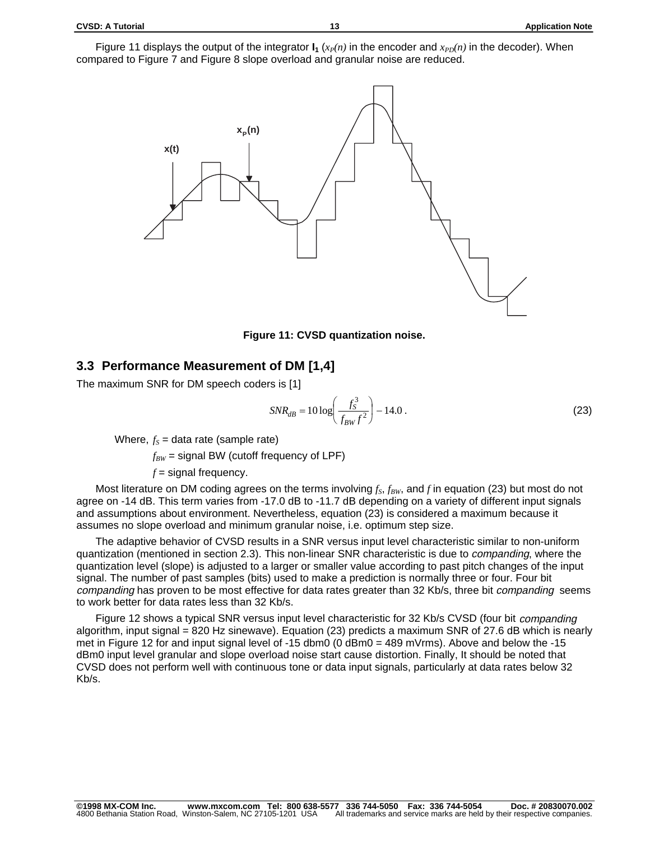Figure 11 displays the output of the integrator  $I_1(x_{P}(n))$  in the encoder and  $x_{PD}(n)$  in the decoder). When compared to Figure 7 and Figure 8 slope overload and granular noise are reduced.





### **3.3 Performance Measurement of DM [1,4]**

The maximum SNR for DM speech coders is [1]

$$
SNR_{dB} = 10 \log \left( \frac{f_S^3}{f_{BW} f^2} \right) - 14.0 \,. \tag{23}
$$

Where,  $f_s$  = data rate (sample rate)

 $f_{BW}$  = signal BW (cutoff frequency of LPF)

 $f =$  signal frequency.

Most literature on DM coding agrees on the terms involving  $f_S$ ,  $f_{BW}$ , and f in equation (23) but most do not agree on -14 dB. This term varies from -17.0 dB to -11.7 dB depending on a variety of different input signals and assumptions about environment. Nevertheless, equation (23) is considered a maximum because it assumes no slope overload and minimum granular noise, i.e. optimum step size.

The adaptive behavior of CVSD results in a SNR versus input level characteristic similar to non-uniform quantization (mentioned in section 2.3). This non-linear SNR characteristic is due to *companding*, where the quantization level (slope) is adjusted to a larger or smaller value according to past pitch changes of the input signal. The number of past samples (bits) used to make a prediction is normally three or four. Four bit companding has proven to be most effective for data rates greater than 32 Kb/s, three bit companding seems to work better for data rates less than 32 Kb/s.

Figure 12 shows a typical SNR versus input level characteristic for 32 Kb/s CVSD (four bit *companding* algorithm, input signal = 820 Hz sinewave). Equation (23) predicts a maximum SNR of 27.6 dB which is nearly met in Figure 12 for and input signal level of -15 dbm0 (0 dBm0 = 489 mVrms). Above and below the -15 dBm0 input level granular and slope overload noise start cause distortion. Finally, It should be noted that CVSD does not perform well with continuous tone or data input signals, particularly at data rates below 32 Kb/s.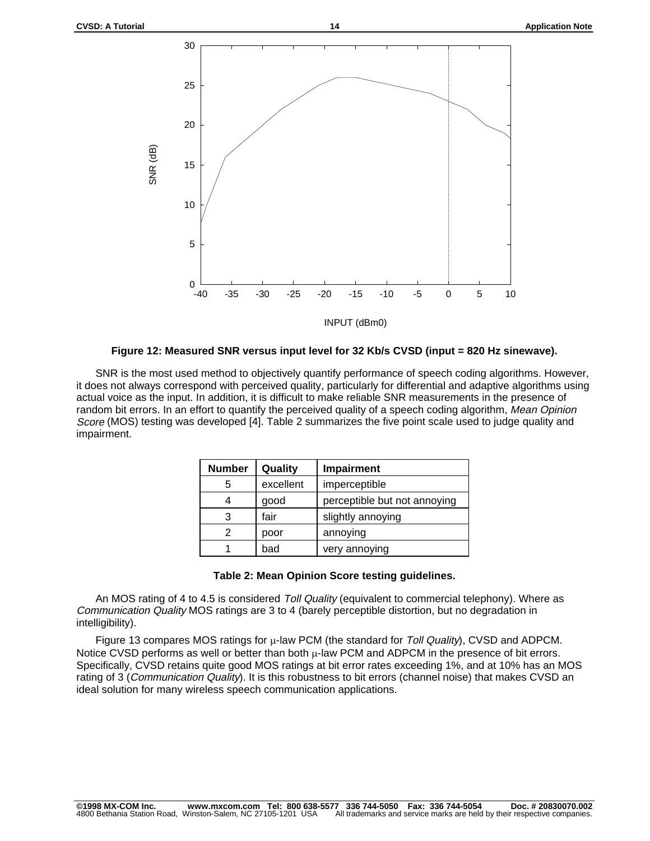

#### **Figure 12: Measured SNR versus input level for 32 Kb/s CVSD (input = 820 Hz sinewave).**

SNR is the most used method to objectively quantify performance of speech coding algorithms. However, it does not always correspond with perceived quality, particularly for differential and adaptive algorithms using actual voice as the input. In addition, it is difficult to make reliable SNR measurements in the presence of random bit errors. In an effort to quantify the perceived quality of a speech coding algorithm, Mean Opinion Score (MOS) testing was developed [4]. Table 2 summarizes the five point scale used to judge quality and impairment.

| <b>Number</b> | Quality   | Impairment                   |
|---------------|-----------|------------------------------|
| 5             | excellent | imperceptible                |
|               | good      | perceptible but not annoying |
|               | fair      | slightly annoying            |
|               | poor      | annoying                     |
|               | bad       | very annoying                |

#### **Table 2: Mean Opinion Score testing guidelines.**

An MOS rating of 4 to 4.5 is considered Toll Quality (equivalent to commercial telephony). Where as Communication Quality MOS ratings are 3 to 4 (barely perceptible distortion, but no degradation in intelligibility).

Figure 13 compares MOS ratings for  $\mu$ -law PCM (the standard for Toll Quality), CVSD and ADPCM. Notice CVSD performs as well or better than both  $\mu$ -law PCM and ADPCM in the presence of bit errors. Specifically, CVSD retains quite good MOS ratings at bit error rates exceeding 1%, and at 10% has an MOS rating of 3 (Communication Quality). It is this robustness to bit errors (channel noise) that makes CVSD an ideal solution for many wireless speech communication applications.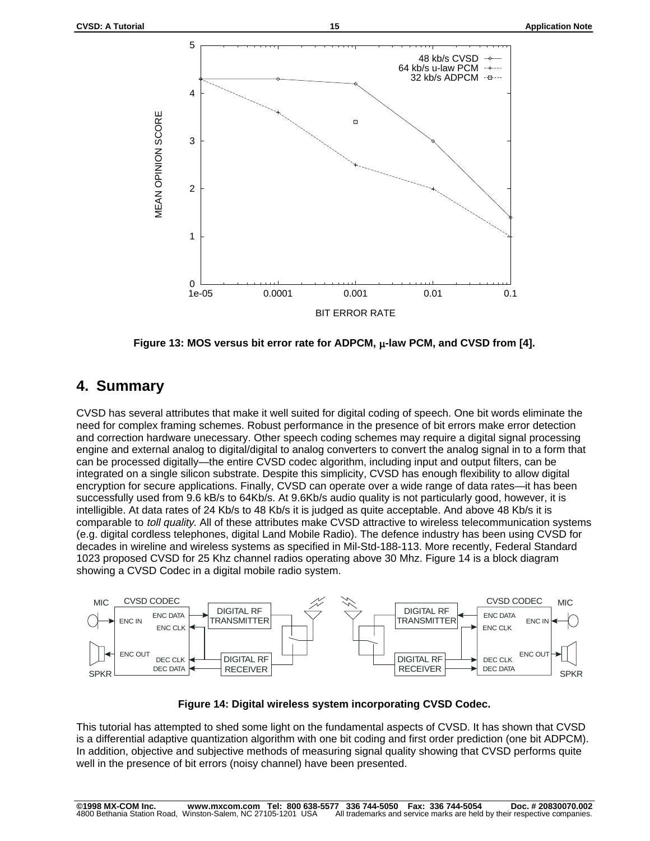

**Figure 13: MOS versus bit error rate for ADPCM, -law PCM, and CVSD from [4].**

### **4. Summary**

CVSD has several attributes that make it well suited for digital coding of speech. One bit words eliminate the need for complex framing schemes. Robust performance in the presence of bit errors make error detection and correction hardware unecessary. Other speech coding schemes may require a digital signal processing engine and external analog to digital/digital to analog converters to convert the analog signal in to a form that can be processed digitally—the entire CVSD codec algorithm, including input and output filters, can be integrated on a single silicon substrate. Despite this simplicity, CVSD has enough flexibility to allow digital encryption for secure applications. Finally, CVSD can operate over a wide range of data rates—it has been successfully used from 9.6 kB/s to 64Kb/s. At 9.6Kb/s audio quality is not particularly good, however, it is intelligible. At data rates of 24 Kb/s to 48 Kb/s it is judged as quite acceptable. And above 48 Kb/s it is comparable to toll quality. All of these attributes make CVSD attractive to wireless telecommunication systems (e.g. digital cordless telephones, digital Land Mobile Radio). The defence industry has been using CVSD for decades in wireline and wireless systems as specified in Mil-Std-188-113. More recently, Federal Standard 1023 proposed CVSD for 25 Khz channel radios operating above 30 Mhz. Figure 14 is a block diagram showing a CVSD Codec in a digital mobile radio system.



**Figure 14: Digital wireless system incorporating CVSD Codec.**

This tutorial has attempted to shed some light on the fundamental aspects of CVSD. It has shown that CVSD is a differential adaptive quantization algorithm with one bit coding and first order prediction (one bit ADPCM). In addition, objective and subjective methods of measuring signal quality showing that CVSD performs quite well in the presence of bit errors (noisy channel) have been presented.